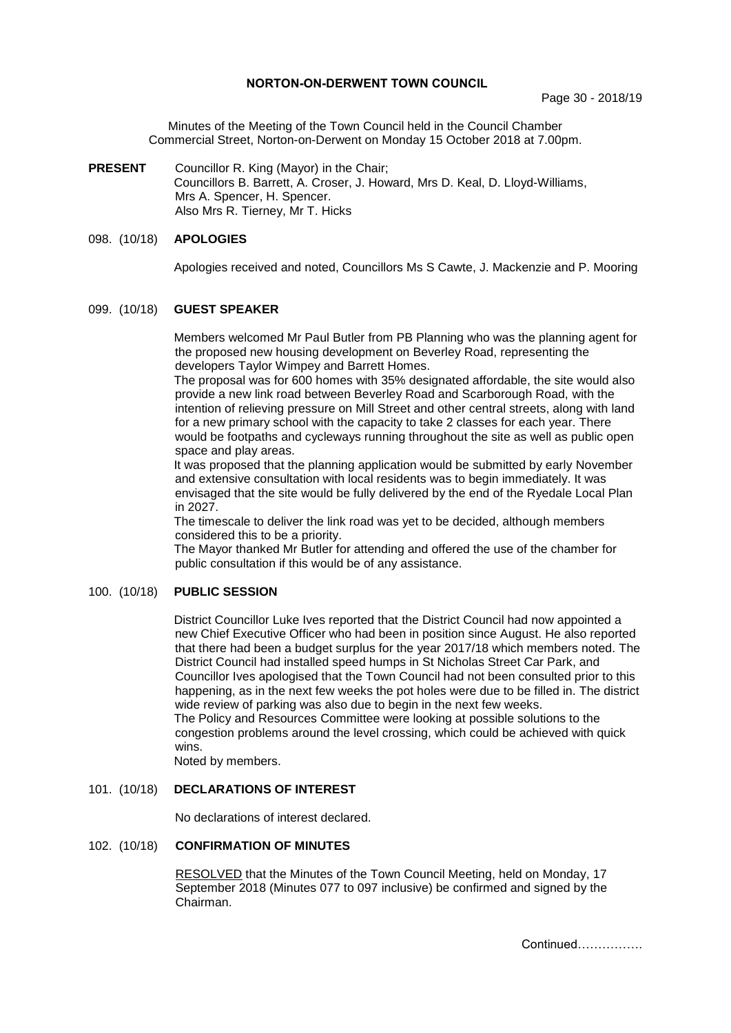### **NORTON-ON-DERWENT TOWN COUNCIL**

Minutes of the Meeting of the Town Council held in the Council Chamber Commercial Street, Norton-on-Derwent on Monday 15 October 2018 at 7.00pm.

**PRESENT** Councillor R. King (Mayor) in the Chair; Councillors B. Barrett, A. Croser, J. Howard, Mrs D. Keal, D. Lloyd-Williams, Mrs A. Spencer, H. Spencer. Also Mrs R. Tierney, Mr T. Hicks

### 098. (10/18) **APOLOGIES**

Apologies received and noted, Councillors Ms S Cawte, J. Mackenzie and P. Mooring

## 099. (10/18) **GUEST SPEAKER**

Members welcomed Mr Paul Butler from PB Planning who was the planning agent for the proposed new housing development on Beverley Road, representing the developers Taylor Wimpey and Barrett Homes.

The proposal was for 600 homes with 35% designated affordable, the site would also provide a new link road between Beverley Road and Scarborough Road, with the intention of relieving pressure on Mill Street and other central streets, along with land for a new primary school with the capacity to take 2 classes for each year. There would be footpaths and cycleways running throughout the site as well as public open space and play areas.

It was proposed that the planning application would be submitted by early November and extensive consultation with local residents was to begin immediately. It was envisaged that the site would be fully delivered by the end of the Ryedale Local Plan in 2027.

The timescale to deliver the link road was yet to be decided, although members considered this to be a priority.

The Mayor thanked Mr Butler for attending and offered the use of the chamber for public consultation if this would be of any assistance.

#### 100. (10/18) **PUBLIC SESSION**

District Councillor Luke Ives reported that the District Council had now appointed a new Chief Executive Officer who had been in position since August. He also reported that there had been a budget surplus for the year 2017/18 which members noted. The District Council had installed speed humps in St Nicholas Street Car Park, and Councillor Ives apologised that the Town Council had not been consulted prior to this happening, as in the next few weeks the pot holes were due to be filled in. The district wide review of parking was also due to begin in the next few weeks. The Policy and Resources Committee were looking at possible solutions to the

congestion problems around the level crossing, which could be achieved with quick wins.

Noted by members.

#### 101. (10/18) **DECLARATIONS OF INTEREST**

No declarations of interest declared.

## 102. (10/18) **CONFIRMATION OF MINUTES**

 RESOLVED that the Minutes of the Town Council Meeting, held on Monday, 17 September 2018 (Minutes 077 to 097 inclusive) be confirmed and signed by the Chairman.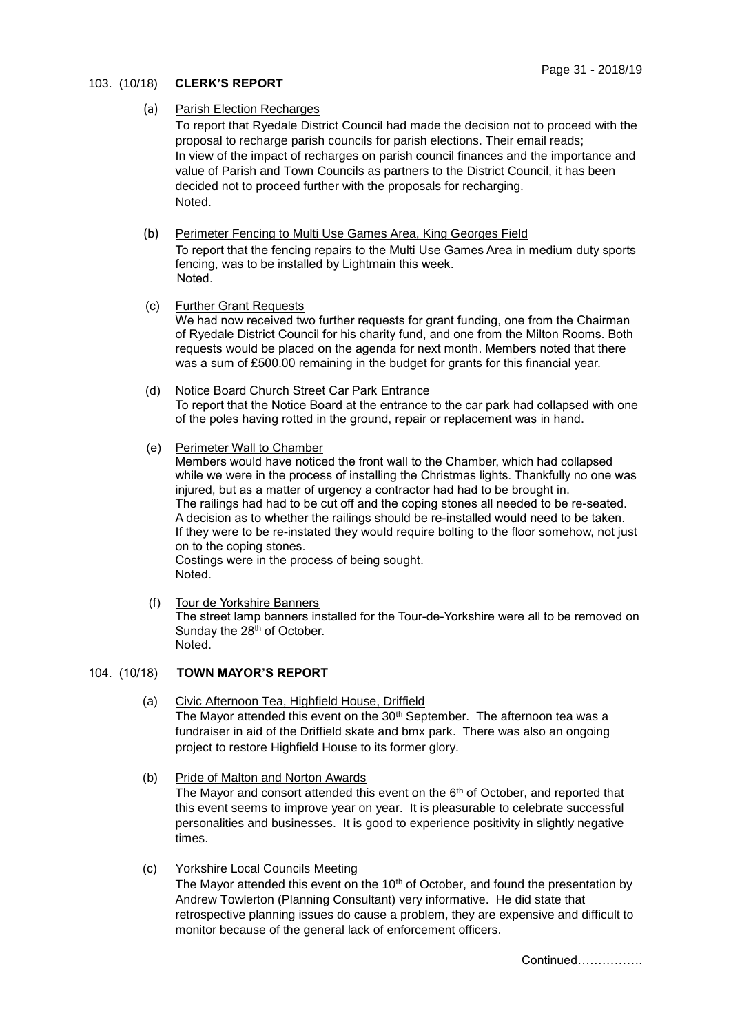# 103. (10/18) **CLERK'S REPORT**

## (a) Parish Election Recharges

To report that Ryedale District Council had made the decision not to proceed with the proposal to recharge parish councils for parish elections. Their email reads; In view of the impact of recharges on parish council finances and the importance and value of Parish and Town Councils as partners to the District Council, it has been decided not to proceed further with the proposals for recharging. Noted.

## (b) Perimeter Fencing to Multi Use Games Area, King Georges Field

To report that the fencing repairs to the Multi Use Games Area in medium duty sports fencing, was to be installed by Lightmain this week. Noted.

- (c) Further Grant Requests We had now received two further requests for grant funding, one from the Chairman of Ryedale District Council for his charity fund, and one from the Milton Rooms. Both requests would be placed on the agenda for next month. Members noted that there was a sum of £500.00 remaining in the budget for grants for this financial year.
- (d) Notice Board Church Street Car Park Entrance To report that the Notice Board at the entrance to the car park had collapsed with one of the poles having rotted in the ground, repair or replacement was in hand.

## (e) Perimeter Wall to Chamber

Members would have noticed the front wall to the Chamber, which had collapsed while we were in the process of installing the Christmas lights. Thankfully no one was injured, but as a matter of urgency a contractor had had to be brought in. The railings had had to be cut off and the coping stones all needed to be re-seated. A decision as to whether the railings should be re-installed would need to be taken. If they were to be re-instated they would require bolting to the floor somehow, not just on to the coping stones. Costings were in the process of being sought.

Noted.

 (f) Tour de Yorkshire Banners The street lamp banners installed for the Tour-de-Yorkshire were all to be removed on Sunday the 28<sup>th</sup> of October. Noted.

# 104. (10/18) **TOWN MAYOR'S REPORT**

- (a) Civic Afternoon Tea, Highfield House, Driffield The Mayor attended this event on the 30<sup>th</sup> September. The afternoon tea was a fundraiser in aid of the Driffield skate and bmx park. There was also an ongoing project to restore Highfield House to its former glory.
- (b) Pride of Malton and Norton Awards

The Mayor and consort attended this event on the  $6<sup>th</sup>$  of October, and reported that this event seems to improve year on year. It is pleasurable to celebrate successful personalities and businesses. It is good to experience positivity in slightly negative times.

 (c) Yorkshire Local Councils Meeting The Mayor attended this event on the  $10<sup>th</sup>$  of October, and found the presentation by Andrew Towlerton (Planning Consultant) very informative. He did state that retrospective planning issues do cause a problem, they are expensive and difficult to monitor because of the general lack of enforcement officers.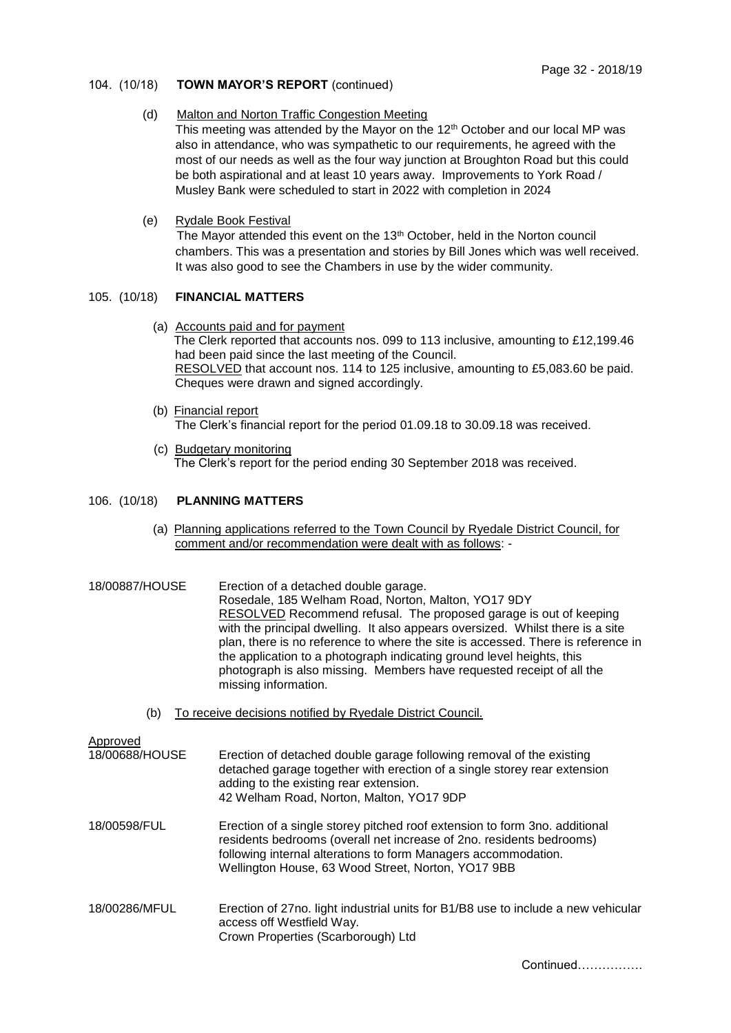### 104. (10/18) **TOWN MAYOR'S REPORT** (continued)

### (d) Malton and Norton Traffic Congestion Meeting

This meeting was attended by the Mayor on the  $12<sup>th</sup>$  October and our local MP was also in attendance, who was sympathetic to our requirements, he agreed with the most of our needs as well as the four way junction at Broughton Road but this could be both aspirational and at least 10 years away. Improvements to York Road / Musley Bank were scheduled to start in 2022 with completion in 2024

(e) Rydale Book Festival

The Mayor attended this event on the 13<sup>th</sup> October, held in the Norton council chambers. This was a presentation and stories by Bill Jones which was well received. It was also good to see the Chambers in use by the wider community.

## 105. (10/18) **FINANCIAL MATTERS**

- (a) Accounts paid and for payment The Clerk reported that accounts nos. 099 to 113 inclusive, amounting to £12,199.46 had been paid since the last meeting of the Council. RESOLVED that account nos. 114 to 125 inclusive, amounting to £5,083.60 be paid. Cheques were drawn and signed accordingly.
- (b) Financial report The Clerk's financial report for the period 01.09.18 to 30.09.18 was received.
- (c) Budgetary monitoring The Clerk's report for the period ending 30 September 2018 was received.

## 106. (10/18) **PLANNING MATTERS**

(a) Planning applications referred to the Town Council by Ryedale District Council, for comment and/or recommendation were dealt with as follows: -

| 18/00887/HOUSE             | Erection of a detached double garage.<br>Rosedale, 185 Welham Road, Norton, Malton, YO17 9DY<br><b>RESOLVED</b> Recommend refusal. The proposed garage is out of keeping<br>with the principal dwelling. It also appears oversized. Whilst there is a site<br>plan, there is no reference to where the site is accessed. There is reference in<br>the application to a photograph indicating ground level heights, this<br>photograph is also missing. Members have requested receipt of all the<br>missing information. |
|----------------------------|--------------------------------------------------------------------------------------------------------------------------------------------------------------------------------------------------------------------------------------------------------------------------------------------------------------------------------------------------------------------------------------------------------------------------------------------------------------------------------------------------------------------------|
| (b)                        | To receive decisions notified by Ryedale District Council.                                                                                                                                                                                                                                                                                                                                                                                                                                                               |
| Approved<br>18/00688/HOUSE | Erection of detached double garage following removal of the existing<br>detached garage together with erection of a single storey rear extension<br>adding to the existing rear extension.<br>42 Welham Road, Norton, Malton, YO17 9DP                                                                                                                                                                                                                                                                                   |
| 18/00598/FUL               | Erection of a single storey pitched roof extension to form 3no. additional<br>residents bedrooms (overall net increase of 2no. residents bedrooms)<br>following internal alterations to form Managers accommodation.<br>Wellington House, 63 Wood Street, Norton, YO17 9BB                                                                                                                                                                                                                                               |
| 18/00286/MFUL              | Erection of 27no. light industrial units for B1/B8 use to include a new vehicular<br>access off Westfield Way.<br>Crown Properties (Scarborough) Ltd                                                                                                                                                                                                                                                                                                                                                                     |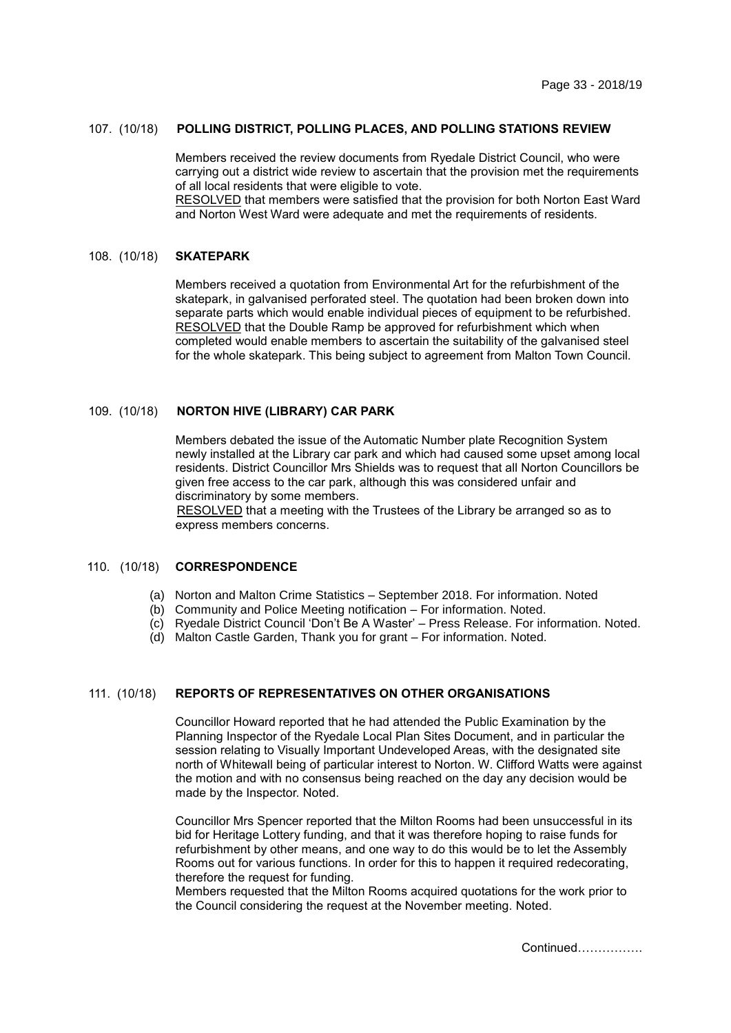## 107. (10/18) **POLLING DISTRICT, POLLING PLACES, AND POLLING STATIONS REVIEW**

Members received the review documents from Ryedale District Council, who were carrying out a district wide review to ascertain that the provision met the requirements of all local residents that were eligible to vote. RESOLVED that members were satisfied that the provision for both Norton East Ward

and Norton West Ward were adequate and met the requirements of residents.

#### 108. (10/18) **SKATEPARK**

Members received a quotation from Environmental Art for the refurbishment of the skatepark, in galvanised perforated steel. The quotation had been broken down into separate parts which would enable individual pieces of equipment to be refurbished. RESOLVED that the Double Ramp be approved for refurbishment which when completed would enable members to ascertain the suitability of the galvanised steel for the whole skatepark. This being subject to agreement from Malton Town Council.

### 109. (10/18) **NORTON HIVE (LIBRARY) CAR PARK**

Members debated the issue of the Automatic Number plate Recognition System newly installed at the Library car park and which had caused some upset among local residents. District Councillor Mrs Shields was to request that all Norton Councillors be given free access to the car park, although this was considered unfair and discriminatory by some members.

RESOLVED that a meeting with the Trustees of the Library be arranged so as to express members concerns.

### 110. (10/18) **CORRESPONDENCE**

- (a) Norton and Malton Crime Statistics September 2018. For information. Noted
- (b) Community and Police Meeting notification For information. Noted.
- (c) Ryedale District Council 'Don't Be A Waster' Press Release. For information. Noted.
- (d) Malton Castle Garden, Thank you for grant For information. Noted.

## 111. (10/18) **REPORTS OF REPRESENTATIVES ON OTHER ORGANISATIONS**

Councillor Howard reported that he had attended the Public Examination by the Planning Inspector of the Ryedale Local Plan Sites Document, and in particular the session relating to Visually Important Undeveloped Areas, with the designated site north of Whitewall being of particular interest to Norton. W. Clifford Watts were against the motion and with no consensus being reached on the day any decision would be made by the Inspector. Noted.

Councillor Mrs Spencer reported that the Milton Rooms had been unsuccessful in its bid for Heritage Lottery funding, and that it was therefore hoping to raise funds for refurbishment by other means, and one way to do this would be to let the Assembly Rooms out for various functions. In order for this to happen it required redecorating, therefore the request for funding.

Members requested that the Milton Rooms acquired quotations for the work prior to the Council considering the request at the November meeting. Noted.